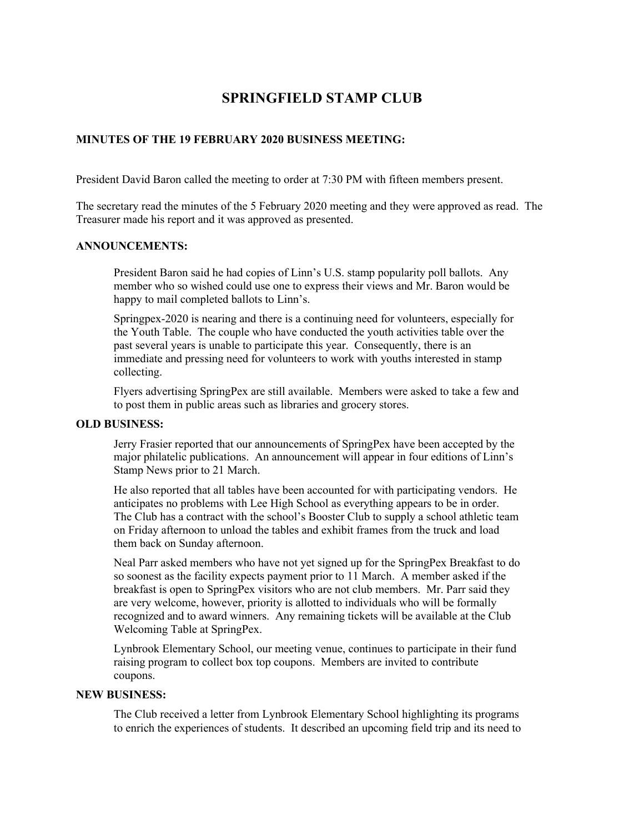# **SPRINGFIELD STAMP CLUB**

## **MINUTES OF THE 19 FEBRUARY 2020 BUSINESS MEETING:**

President David Baron called the meeting to order at 7:30 PM with fifteen members present.

The secretary read the minutes of the 5 February 2020 meeting and they were approved as read. The Treasurer made his report and it was approved as presented.

#### **ANNOUNCEMENTS:**

President Baron said he had copies of Linn's U.S. stamp popularity poll ballots. Any member who so wished could use one to express their views and Mr. Baron would be happy to mail completed ballots to Linn's.

Springpex-2020 is nearing and there is a continuing need for volunteers, especially for the Youth Table. The couple who have conducted the youth activities table over the past several years is unable to participate this year. Consequently, there is an immediate and pressing need for volunteers to work with youths interested in stamp collecting.

Flyers advertising SpringPex are still available. Members were asked to take a few and to post them in public areas such as libraries and grocery stores.

#### **OLD BUSINESS:**

Jerry Frasier reported that our announcements of SpringPex have been accepted by the major philatelic publications. An announcement will appear in four editions of Linn's Stamp News prior to 21 March.

He also reported that all tables have been accounted for with participating vendors. He anticipates no problems with Lee High School as everything appears to be in order. The Club has a contract with the school's Booster Club to supply a school athletic team on Friday afternoon to unload the tables and exhibit frames from the truck and load them back on Sunday afternoon.

Neal Parr asked members who have not yet signed up for the SpringPex Breakfast to do so soonest as the facility expects payment prior to 11 March. A member asked if the breakfast is open to SpringPex visitors who are not club members. Mr. Parr said they are very welcome, however, priority is allotted to individuals who will be formally recognized and to award winners. Any remaining tickets will be available at the Club Welcoming Table at SpringPex.

Lynbrook Elementary School, our meeting venue, continues to participate in their fund raising program to collect box top coupons. Members are invited to contribute coupons.

### **NEW BUSINESS:**

The Club received a letter from Lynbrook Elementary School highlighting its programs to enrich the experiences of students. It described an upcoming field trip and its need to